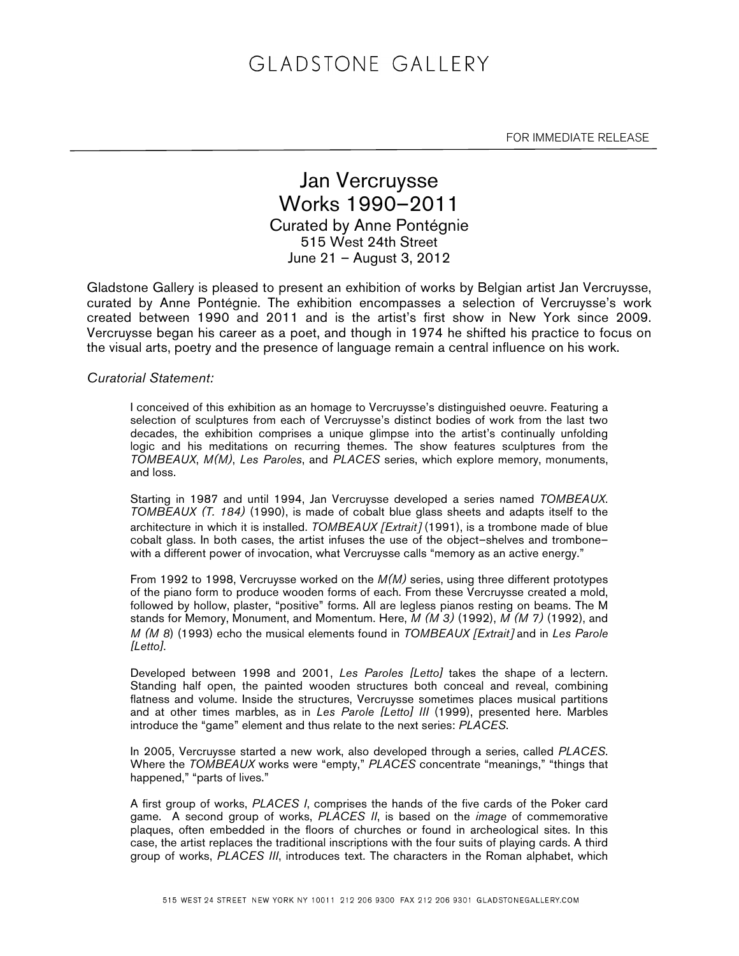# GLADSTONE GALLERY

FOR IMMEDIATE RELEASE

### Jan Vercruysse Works 1990–2011 Curated by Anne Pontégnie 515 West 24th Street June 21 – August 3, 2012

Gladstone Gallery is pleased to present an exhibition of works by Belgian artist Jan Vercruysse, curated by Anne Pontégnie. The exhibition encompasses a selection of Vercruysse's work created between 1990 and 2011 and is the artist's first show in New York since 2009. Vercruysse began his career as a poet, and though in 1974 he shifted his practice to focus on the visual arts, poetry and the presence of language remain a central influence on his work.

#### *Curatorial Statement:*

I conceived of this exhibition as an homage to Vercruysse's distinguished oeuvre. Featuring a selection of sculptures from each of Vercruysse's distinct bodies of work from the last two decades, the exhibition comprises a unique glimpse into the artist's continually unfolding logic and his meditations on recurring themes. The show features sculptures from the *TOMBEAUX*, *M(M)*, *Les Paroles*, and *PLACES* series, which explore memory, monuments, and loss.

Starting in 1987 and until 1994, Jan Vercruysse developed a series named *TOMBEAUX*. *TOMBEAUX (T. 184)* (1990), is made of cobalt blue glass sheets and adapts itself to the architecture in which it is installed. *TOMBEAUX* [*Extrait*] (1991), is a trombone made of blue cobalt glass. In both cases, the artist infuses the use of the object–shelves and trombone– with a different power of invocation, what Vercruysse calls "memory as an active energy."

From 1992 to 1998, Vercruysse worked on the *M(M)* series, using three different prototypes of the piano form to produce wooden forms of each. From these Vercruysse created a mold, followed by hollow, plaster, "positive" forms. All are legless pianos resting on beams. The M stands for Memory, Monument, and Momentum. Here, *M (M 3)* (1992), *M (M 7)* (1992), and *M (M 8*) (1993) echo the musical elements found in *TOMBEAUX* [*Extrait*] and in *Les Parole [Letto]*.

Developed between 1998 and 2001, *Les Paroles [Letto]* takes the shape of a lectern. Standing half open, the painted wooden structures both conceal and reveal, combining flatness and volume. Inside the structures, Vercruysse sometimes places musical partitions and at other times marbles, as in *Les Parole [Letto] III* (1999), presented here. Marbles introduce the "game" element and thus relate to the next series: *PLACES*.

In 2005, Vercruysse started a new work, also developed through a series, called *PLACES*. Where the *TOMBEAUX* works were "empty," *PLACES* concentrate "meanings," "things that happened," "parts of lives."

A first group of works, *PLACES I*, comprises the hands of the five cards of the Poker card game. A second group of works, *PLACES II*, is based on the *image* of commemorative plaques, often embedded in the floors of churches or found in archeological sites. In this case, the artist replaces the traditional inscriptions with the four suits of playing cards. A third group of works, *PLACES III*, introduces text. The characters in the Roman alphabet, which